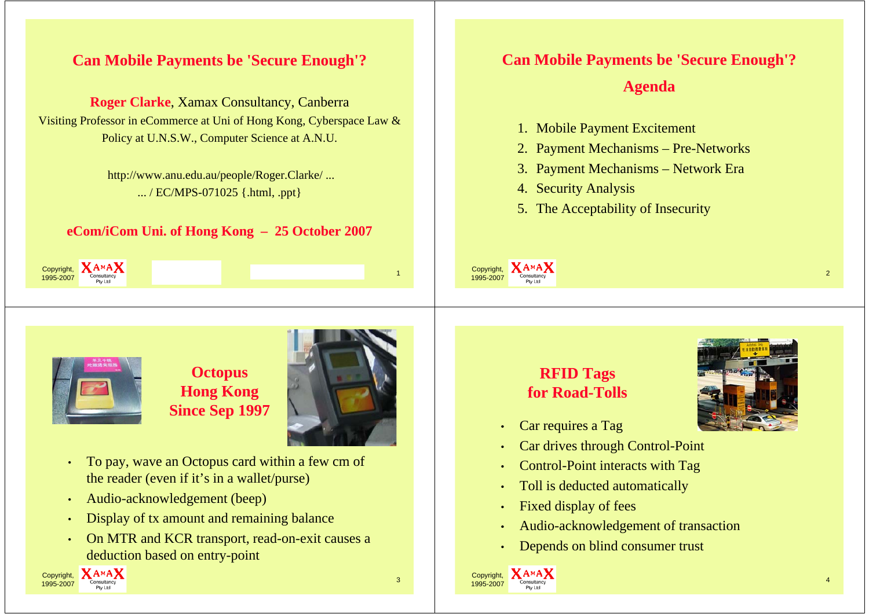### **Can Mobile Payments be 'Secure Enough'?**

**Roger Clarke**, Xamax Consultancy, Canberra Visiting Professor in eCommerce at Uni of Hong Kong, Cyberspace Law  $\&$ Policy at U.N.S.W., Computer Science at A.N.U.

> http://www.anu.edu.au/people/Roger.Clarke/ ... ... / EC/MPS-071025 {.html, .ppt}

#### **eCom/iCom Uni. of Hong Kong – 25 October 2007**

 $\frac{1}{7}$  Consultancy  $\frac{1}{7}$ 

# **Can Mobile Payments be 'Secure Enough'?**

### **Agenda**

 $\frac{1}{2}$  Consultancy 2

- 1. Mobile Payment Excitement
- 2. Payment Mechanisms Pre-Networks
- 3. Payment Mechanisms Network Era
- 4. Security Analysis
- 5. The Acceptability of Insecurity



Copyright, 1995-2007

> **Octopus Hong Kong Since Sep 1997**



- •To pay, wave an Octopus card within a few cm of the reader (even if it's in a wallet/purse)
- •• Audio-acknowledgement (beep)
- •Display of tx amount and remaining balance
- • On MTR and KCR transport, read-on-exit causes a deduction based on entry-point





- •Car requires <sup>a</sup> Tag
- •Car drives through Control-Point
- •Control-Point interacts with Tag
- •Toll is deducted automatically
- •Fixed display of fees
- •Audio-acknowledgement of transaction
- •Depends on blind consumer trust



Copyright, 1995-2007

**AMAX**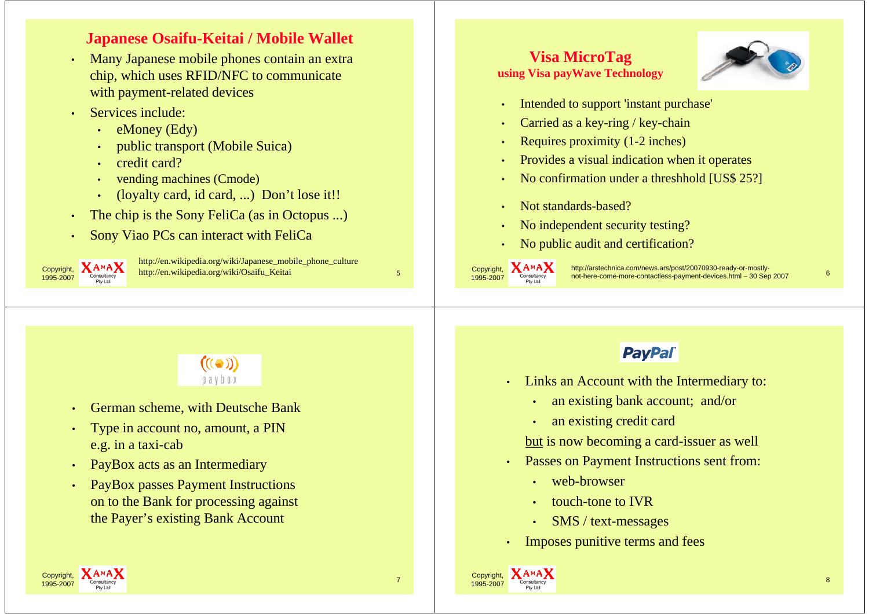### **Japanese Osaifu-Keitai / Mobile Wallet**

- • Many Japanese mobile phones contain an extra chip, which uses RFID/NFC to communicate with payment-related devices
- • Services include:
	- eMoney (Edy)
	- •public transport (Mobile Suica)
	- •credit card?
	- •vending machines (Cmode)
	- •(loyalty card, id card, ...) Don't lose it!!
- The chip is the Sony FeliCa (as in Octopus ...)
- Sony Viao PCs can interact with FeliCa



•

•

<sup>1</sup><br>
<sup>7</sup> Consultancy http://en.wikipedia.org/wiki/Osaifu\_Keitai http://en.wikipedia.org/wiki/Japanese\_mobile\_phone\_culture

### **Vi Mi T Visa MicroTag using Visa payWave Technology**



- •Intended to support 'instant purchase'
- •• Carried as a key-ring / key-chain
- •Requires proximity (1-2 inches)
- •Provides a visual indication when it operates
- •No confirmation under a threshhold [US\$ 25?]
- •Not standards-based?
- •• No independent security testing?
- •No public audit and certification?

Copyright, 1995-2007

Copyright, 1995-2007

**XAMAX** http://arstechnica.com/news.ars/post/20070930-ready-or-mostly-<br>not-here-come-more-contactless-payment-devices.html – 30 Sep 2007 6

 $((\bullet))$  $0a$  v  $b$   $0x$ 

- •German scheme, with Deutsche Bank
- •Type in account no, amount, a PIN e.g. in a taxi-cab
- •PayBox acts as an Intermediary
- • PayBox passes Payment Instructions on to the Bank for processing against the Payer's existing Bank Account

## **PayPal**

- Links an Account with the Intermediary to:
	- an existing bank account; and/or
	- •an existing credit card

but is now becoming a card-issuer as well

- Passes on Payment Instructions sent from:
	- web-browser
	- •touch-tone to IVR
	- •SMS / text-messages
- Imposes punitive terms and fees

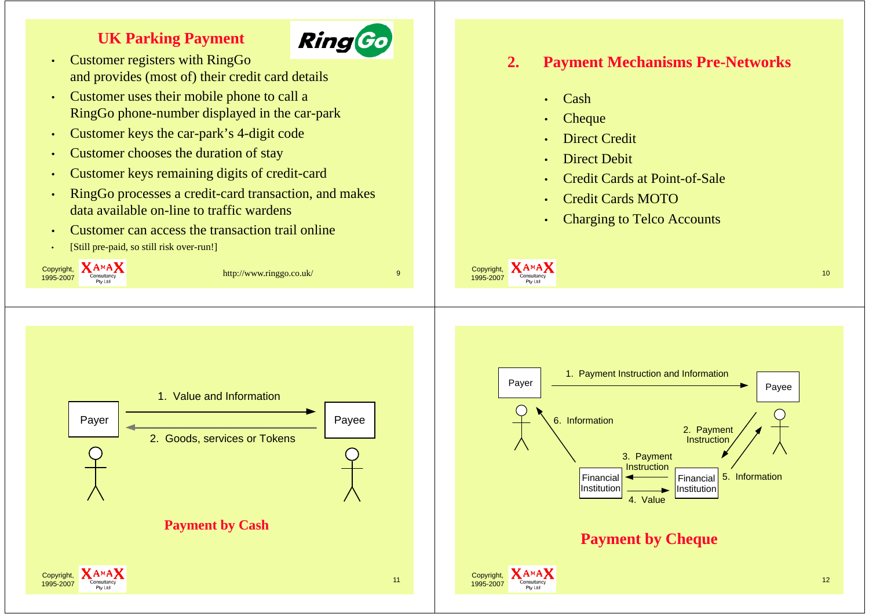### **UK Parking Payment**



- • Customer registers with RingGo and provides (most of) their credit card details
- • Customer uses their mobile phone to call a Ring Go phone-number displayed in the car-park
- •Customer keys the car-park's 4-digit code
- •Customer chooses the duration of stay
- •Customer keys remaining digits of credit-card
- • RingGo processes a credit-card transaction, and makes data available on-line to traffic wardens
- •Customer can access the transaction trail online
- [Still pre-paid, so still risk over-run!]



**2. Payment Mechanisms Pre-Networks**

Credit Cards at Point-of-Sale

Charging to Telco Accounts

Credit Cards MOTO

•

•

•

•

•

•

•

Cash

**Cheque** 

Direct Credit

Direct Debit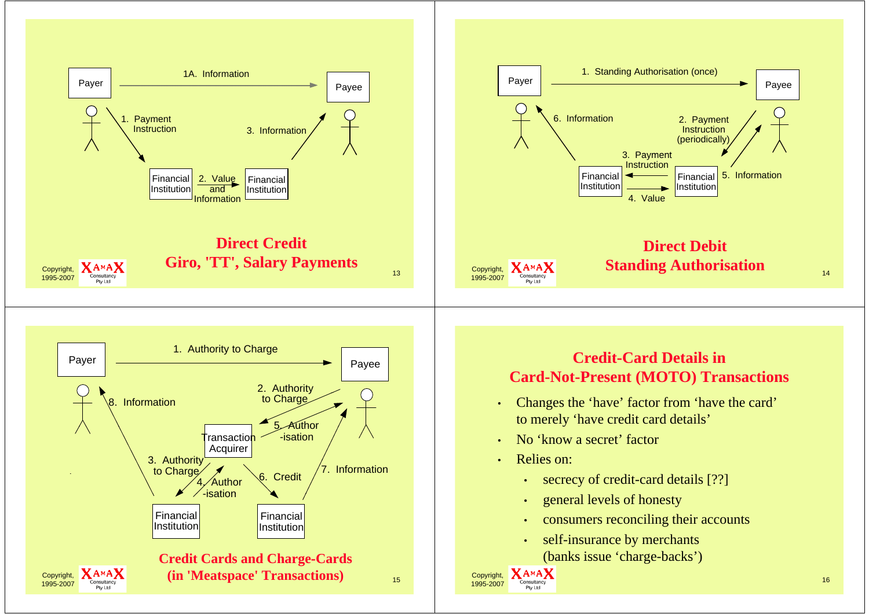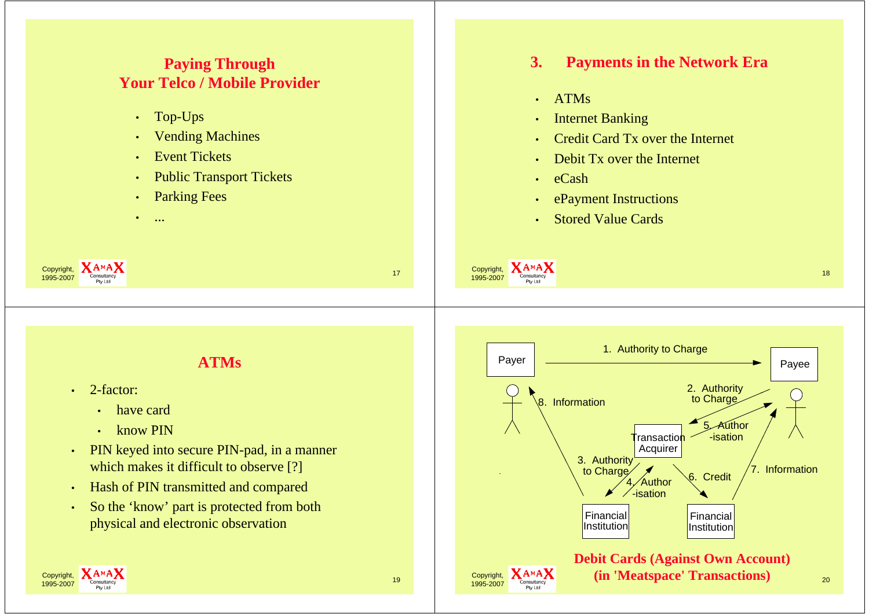#### **Paying Through Your Telco / Mobile Provider**

- Top-Ups
- •Vending Machines
- •**Event Tickets**
- •Public Transport Tickets
- •Parking Fees
- •...

# **3. Payments in the Network Era**

- •ATMs
- •Internet Banking
- •Credit Card Tx over the Internet
- •Debit Tx over the Internet
- •eCash
- •ePayment Instructions
- • Stored Value Cards

### **ATMs**

 $\frac{1}{7}$  Consultancy  $\frac{1}{7}$ 

2-factor:

•

Copyright, 1995-2007

- •have card
- • $\cdot$  know PIN
- • PIN keyed into secure PIN-pad, in a manner which makes it difficult to observe [?]
- •Hash of PIN transmitted and compared
- • So the 'know' part is protected from both physical and electronic observation



 $\frac{\text{Copyright}}{\text{Congultancy}}$  . The consultancy of the construction of the consultance of the consultance of the consultance of the consultance of the consultance of the consultance of the consultance of the consultance of the consu

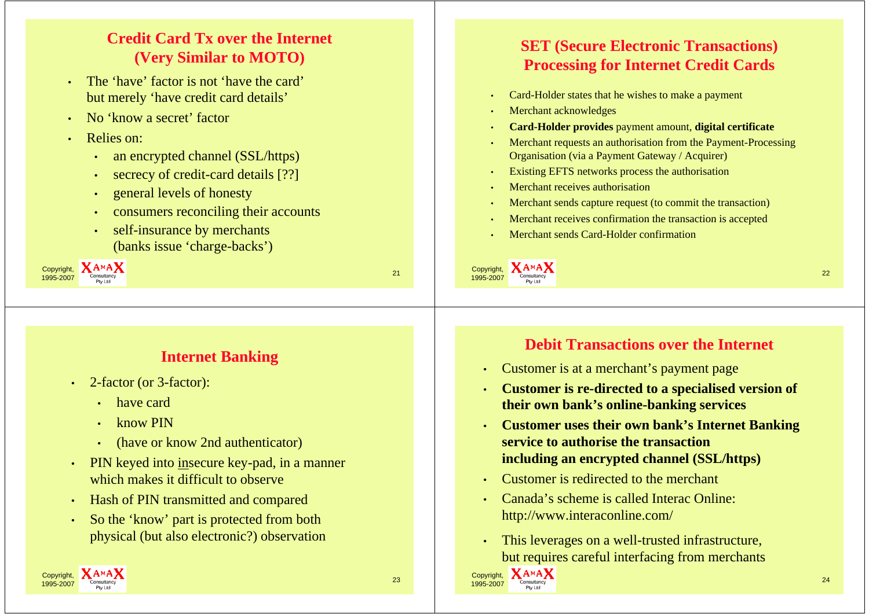## **Credit Card Tx over the Internet(V Si il t MOTO) (Very Similar to**

- • The 'have' factor is not 'have the card' but merely 'have credit card details'
- •• No 'know a secret' factor
- Relies on:
	- an encrypted channel (SSL/https)
	- •secrecy of credit-card details [??]
	- •general levels of honesty
	- •consumers reconciling their accounts
	- • self-insurance by merchants (banks issue 'charge-backs')

Copyright, 1995-2007 $\frac{1}{7}$  Consultancy 21

•

### **Internet Banking**

- 2-factor (or 3-factor):
	- have card
	- •know PIN
	- •(have or know 2nd authenticator)
- •PIN keyed into insecure key-pad, in a manner which makes it difficult to observe
- Hash of PIN transmitted and compared
- •So the 'know' part is protected from both physical (but also electronic?) observation

### **SET ( ) Secure Electronic Transactions) Processing for Internet Credit Cards**

- Card-Holder states that he wishes to make a payment
- Merchant acknowledges
- •**Card-Holder provides** payment amount, **digital certificate**
- Merchant requests an authorisation from the Payment-Processing Organisation (via a Payment Gateway / Acquirer)
- Existing EFTS networks process the authorisation
- Merchant receives authorisation
- Merchant sends capture request (to commit the transaction)
- •Merchant receives confirmation the transaction is accepted
- Merchant sends Card-Holder confirmation

 $\frac{\text{Copyright}}{\text{Congultancy}}$  .  $\frac{1}{22}$ 

Copyright, **XAMAX** 

1995-2007

### **Debit Transactions over the Internet**

- Customer is at a merchant's payment page
- •**•** Customer is re-directed to a specialised version of **their own bank's online-banking services**
- • **Customer uses their own bank s' Internet Banking service to authorise the transactionincluding an encrypted channel (SSL/https)**
- •Customer is redirected to the merchant
- • Canada's scheme is called Interac Online: http://www.interaconline.com/
- • This leverages on a well-trusted infrastructure, but requires careful interfacing from merchants

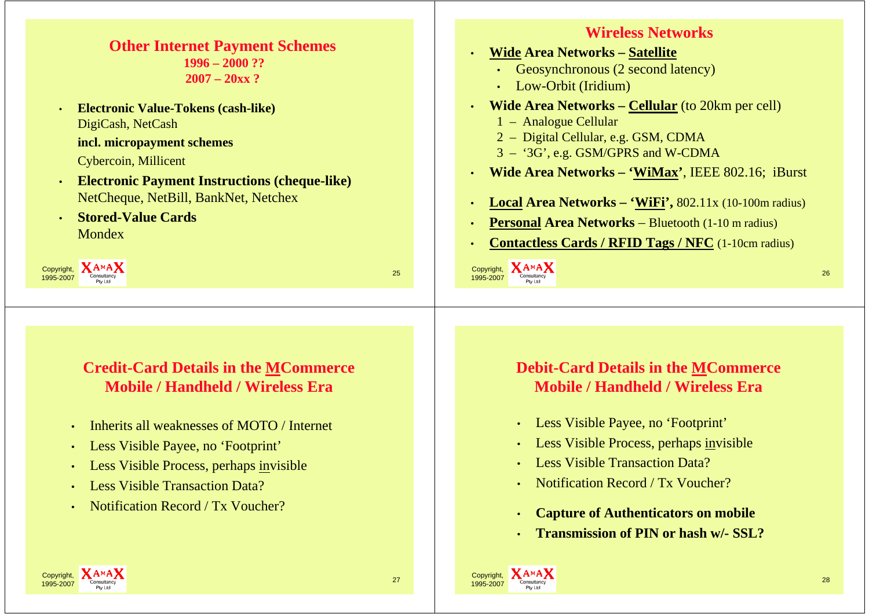### **Other Internet Payment Schemes 1996 – 2000 ??2007 – 20xx ?**

• **Electronic Value-Tokens (cash-like)** DigiCash, NetCash **incl. micropayment schemes**

Cybercoin, Millicent

- **Electronic Payment Instructions (cheque-like)** NetCheque, NetBill, BankNet, Netchex
- **8 Stored-Value Cards** \_\_\_\_\_ Mondex

Copyright, **XAMAX** 1995-2007 $\frac{1}{7}$  Consultancy 25

### **Credit-Card Details in the MCommerce Mobile / Handheld / Wireless Era**

- •Inherits all weaknesses of MOTO / Internet
- •Less Visible Payee, no 'Footprint'
- •Less Visible Process, perhaps invisible
- •Less Visible Transaction Data?
- •• Notification Record / Tx Voucher?

### **Wireless Networks**

- • **Wide Area Networks Networks – Satellite**
	- Geosynchronous (2 second latency)
	- Low-Orbit (Iridium)
- • **Wide Area Networks – Cellular** (to 20km per cell)
	- 1 Analogue Cellular
	- 2 Digital Cellular, e.g. GSM, CDMA
	- 3 '3G', e.g. GSM/GPRS and W-CDMA
- •**Wide Area Networks – 'WiMax'**, IEEE 802.16; iBurst
- •**Local Area Networks – 'WiFi',** 802.11x (10-100m radius)
- •**Personal Area Networks** – Bluetooth (1-10 m radius)
- **Contactless Cards / RFID Tags / NFC** (1-10cm radius)

 $\frac{\text{Copyright}}{\text{Congultancy}}$  .  $\frac{1}{26}$ 

•

### **Debit-Card Details in the MCommerce Mobile / Handheld / Wireless Era**

- Less Visible Payee, no 'Footprint'
- •Less Visible Process, perhaps invisible
- •• Less Visible Transaction Data?
- •Notification Record / Tx Voucher?
- •**Capture of Authenticators on mobile**
- •**Transmission of PIN or hash w/- SSL?**



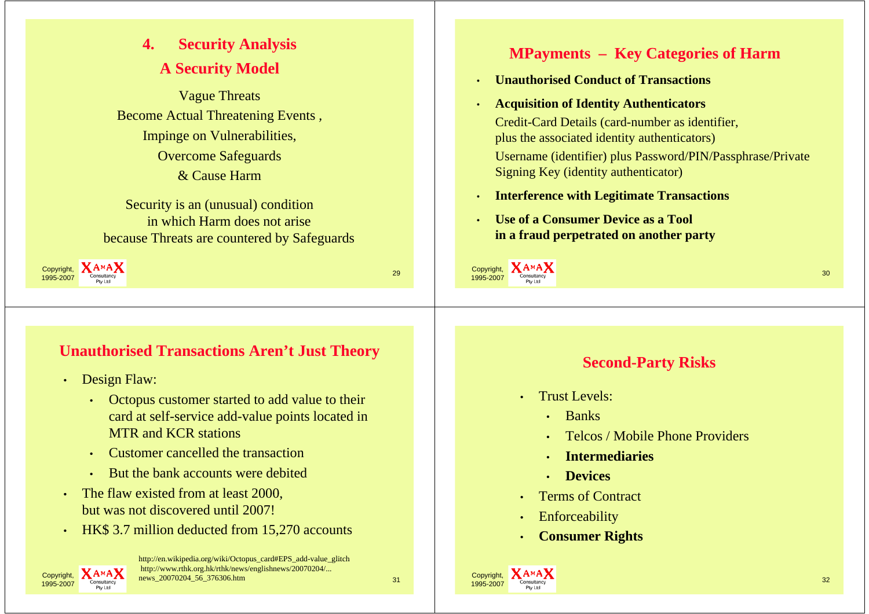# **4. Security y Anal sis A Security Model**

Vague Threats Become Actual Threatening Events, Impinge on Vulnerabilities, Overcome Safeguards & Cause Harm

Security is an (unusual) condition in which Harm does not arise because Threats are countered by Safeguards



### **Unauthorised Transactions Aren't Just Theory**

- Design Flaw:
	- Octopus customer started to add value to their card at self-service add-value points located in MTR and KCR stations
	- Customer cancelled the transaction
	- But the bank accounts were debited
- The flaw existed from at least 2000, but was not discovered until 2007!
- HK\$ 3.7 million deducted from  $15,270$  accounts



http://en.wikipedia.org/wiki/Octopus\_card#EPS\_add-value\_glitch<br>http://www.rthk.org.hk/rthk/news/englishnews/20070204/...  $\frac{1}{7}$   $\sum_{\text{Constitancy}}$  news\_20070204\_56\_376306.htm

### **MPayments – Key Categories of Harm**

- •**Unauthorised Conduct of Transactions**
- • **Acquisition of Identity Authenticators** Credit-Card Details (card-number as identifier, plus the associated identity authenticators) Username (identifier) plus Password/PIN/Passphrase/Private Signing Key (identity authenticator)
- •**Interference with Legitimate Transactions**
- • **Use of <sup>a</sup> Consumer Device as <sup>a</sup> Tool in a fraud perpetrated on another party**



### **S d econ -P t Ri k Party Risks**

- Trust Levels:
	- Banks
	- •Telcos / Mobile Phone Providers

 $\frac{1}{2}$  Consultancy  $\frac{32}{2}$ 

- •**Intermediaries**
- **Devices**
- **Terms of Contract**
- •**Enforceability**

•

Copyright, 1995-2007

•**Consumer Rights**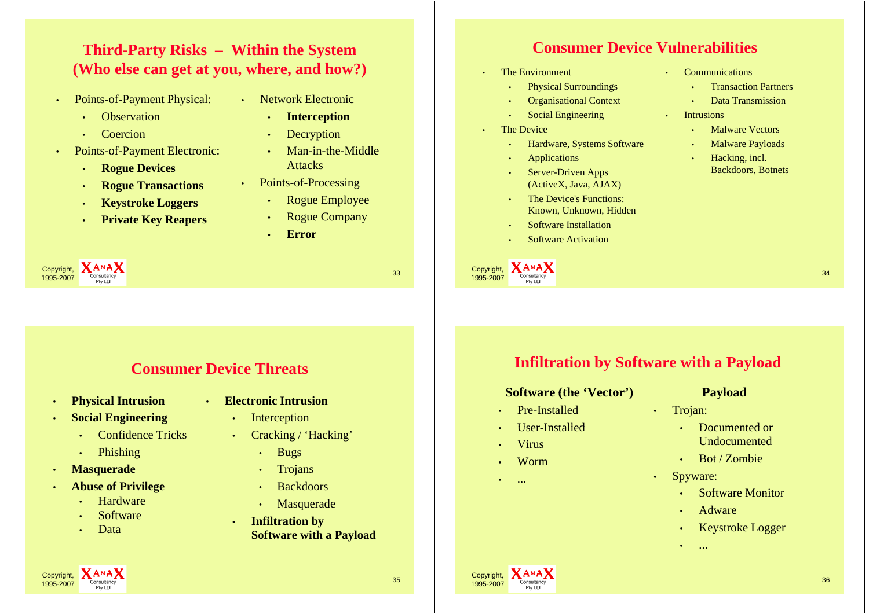### **Third-Party Risks Party – Within the System (Who else can get at you, where, and how?)**

- • Points-of-Payment Physical:
	- •**Observation**
	- •Coercion
- •• Points-of-Payment Electronic: • Man-in-the-Middle
	- •**Rogue Devices**
	- •**Rogue Transactions**
	- •**Keystroke Loggers**
	- •**Private Key Reapers**
- Network Electronic • **Interception**
	- •**Decryption**
	- Man-in-the-Middle<br>Attacks
- Points-of-Processing
	- oints-of-Processing<br>• Rogue Employee
	- **Rogue Company**
	- •**Error**

### **C V onsumer Device Vulnerabilities**

- • The Environment
	- Physical Surroundings
	- •Organisational Context
	- Social Engineering Intrusions
- •The Device

Copyright, 1995-2007

- Hardware, Systems Software
- •Applications
- Server-Driven Apps (ActiveX, Java, AJAX)
- The Device's Functions: Known, Unknown, Hidden
- •Software Installation
- •Software Activation

•**Communications** 

- **Transaction Partners**
- •Data Transmission
- 

•

- •Malware Vectors
- Malware Payloads
- Hacking, incl. Backdoors, Botnets

 $\frac{34}{2}$ 

### **Consumer Device Threats**

•

 $\frac{33}{7}$  Consultancy  $\frac{33}{7}$ 

•**Physical Intrusion**

Copyright, 1995-2007

- • **Social Engineering**
	- •Confidence Tricks
	- •Phishing
- •**Masquerade**
- • **Abuse of Privilege**
	- •**Hardware**
	- •Software
	- Data •
- **Electronic Intrusion**
	- •Interception
	- • Cracking / 'Hacking'
		- •**Bugs**
		- •Trojans
		- •**Backdoors**
		- •Masquerade
		- **Infiltration by <sup>y</sup> Software with a Payload**

### **I filt ti b S ft ith P l d Infiltration by Software with a Payload**

#### **Software (the 'Vector )' Payload**

- Pre-Installed
- User-Installed •
- •Virus
- Worm
- •...

Copyright, 1995-2007

•

- 
- Trojan:
	- Documented or •Undocumented
- Worm Bot / Zombie <u>. . . . . . . . . .</u> .
	- • Spyware:
		- •Software Monitor
		- •Adware
		- •Keystroke Logger
		- •...



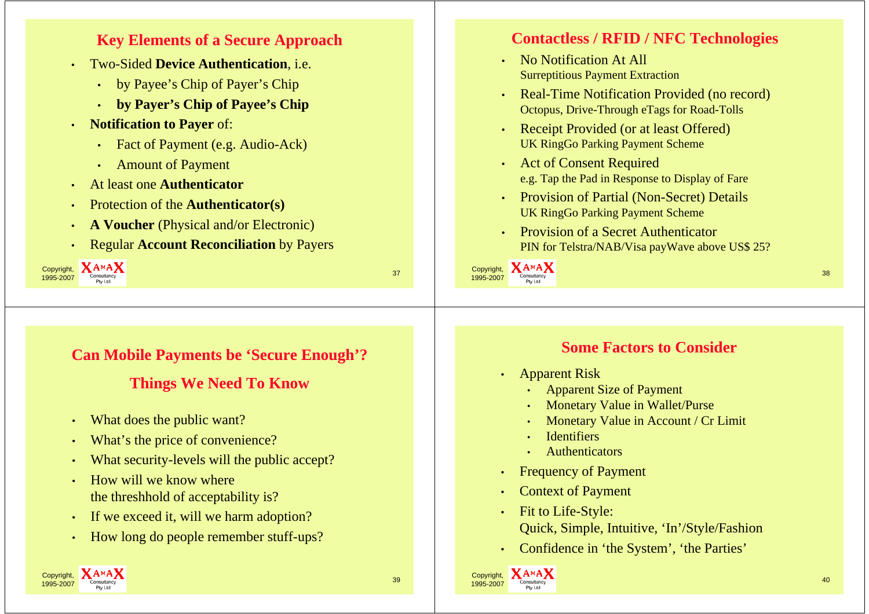#### **Key Elements of a Secure Approach** • Two-Sided **Device Authentication**, i.e. • by Payee's Chip of Payer's Chip • **by Payer's Chip of Payee's Chip** • **N ifi i P Notification to Payer** of: • Fact of Payment (e.g. Audio-Ack) • Amount of Payment • At least one **Authenticator** • Protection of the **Authenticator(s)** •**A Voucher** (Physical and/or Electronic) • Regular **Account Reconciliation** by Payers Copyright, **XAMAX** 1995-2007 $\frac{3}{7}$  Consultancy  $\frac{3}{7}$ **Contactless / RFID / NFC Technologies** • No Notification At All Surreptitious Payment Extraction • Real-Time Notification Provided (no record) Octopus, Drive-Through eTags for Road-Tolls • Receipt Provided (or at least Offered) UK RingGo Parking Payment Scheme • Act of Consent Required e.g. Tap the Pad in Response to Display of Fare • Provision of Partial (Non-Secret) Details UK RingGo Parking Payment Scheme • Provision of a Secret Authenticator PIN for Telstra/NAB/Visa payWave above US\$ 25?  $\frac{\text{Copyright}}{\text{Congultancy}}$  and  $\frac{1}{\text{Congultancy}}$  and  $\frac{1}{\text{Congultancy}}$  and  $\frac{1}{\text{Congultancy}}$ **Can Mobile Payments be 'Secure Enough Secure ?' Things We Need To Know Some Factors to Consider**

- •What does the public want?
- •What's the price of convenience?
- •What security-levels will the public accept?
- • How will we know where the threshhold of acceptability is?
- •If we exceed it, will we harm adoption?
- •How long do people remember stuff-ups?
- Apparent Risk
	- Apparent Size of Payment
	- Monetary Value in Wallet/Purse
	- •Monetary Value in Account / Cr Limit
	- •**Identifiers**
	- Authenticators
- •Frequency of Payment
- •**Context of Payment**

Copyright, **XAMAX** 

1995-2007

- Fit to Life-Style: Quick, Simple, Intuitive, 'In'/Style/Fashion
- Confidence in 'the System', 'the Parties'

 $\frac{1}{7}$  Consultancy  $\frac{40}{7}$